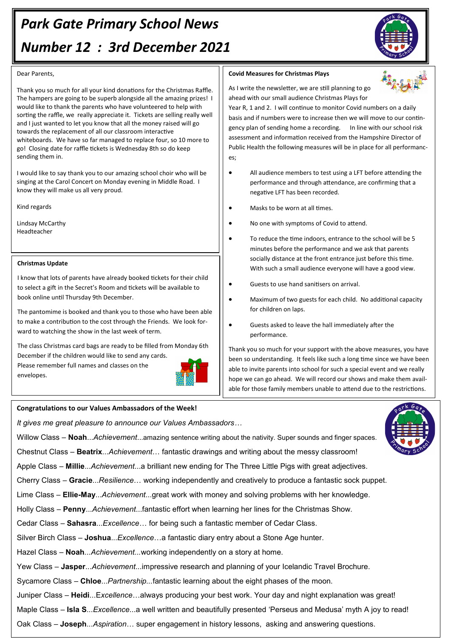# *Park Gate Primary School News Number 12 : 3rd December 2021*



#### Dear Parents,

Thank you so much for all your kind donations for the Christmas Raffle. The hampers are going to be superb alongside all the amazing prizes! I would like to thank the parents who have volunteered to help with sorting the raffle, we really appreciate it. Tickets are selling really well and I just wanted to let you know that all the money raised will go towards the replacement of all our classroom interactive whiteboards. We have so far managed to replace four, so 10 more to go! Closing date for raffle tickets is Wednesday 8th so do keep sending them in.

I would like to say thank you to our amazing school choir who will be singing at the Carol Concert on Monday evening in Middle Road. I know they will make us all very proud.

Kind regards

Lindsay McCarthy Headteacher

#### **Christmas Update**

I know that lots of parents have already booked tickets for their child to select a gift in the Secret's Room and tickets will be available to book online until Thursday 9th December.

The pantomime is booked and thank you to those who have been able to make a contribution to the cost through the Friends. We look forward to watching the show in the last week of term.

The class Christmas card bags are ready to be filled from Monday 6th December if the children would like to send any cards. Please remember full names and classes on the envelopes.



#### **Congratulations to our Values Ambassadors of the Week!**

*It gives me great pleasure to announce our Values Ambassadors…*

Willow Class – **Noah**...*Achievement*...amazing sentence writing about the nativity. Super sounds and finger spaces.

Chestnut Class – **Beatrix**...*Achievement*… fantastic drawings and writing about the messy classroom!

Apple Class – **Millie**...*Achievement*...a brilliant new ending for The Three Little Pigs with great adjectives.

Cherry Class – **Gracie**...*Resilience*… working independently and creatively to produce a fantastic sock puppet.

Lime Class – **Ellie-May**...*Achievement*...great work with money and solving problems with her knowledge.

Holly Class – **Penny**...*Achievement*...fantastic effort when learning her lines for the Christmas Show.

Cedar Class – **Sahasra**...*Excellence*… for being such a fantastic member of Cedar Class.

Silver Birch Class – **Joshua**...*Excellence*…a fantastic diary entry about a Stone Age hunter.

Hazel Class *–* **Noah***...Achievement...*working independently on a story at home.

Yew Class – **Jasper**...*Achievement*...impressive research and planning of your Icelandic Travel Brochure.

Sycamore Class – **Chloe**...*Partnership...*fantastic learning about the eight phases of the moon.

Juniper Class – **Heidi**...E*xcellence*…always producing your best work. Your day and night explanation was great!

Maple Class – **Isla S**...*Excellence*...a well written and beautifully presented 'Perseus and Medusa' myth A joy to read!

Oak Class – **Joseph**...*Aspiration*… super engagement in history lessons, asking and answering questions.

### **Covid Measures for Christmas Plays**

As I write the newsletter, we are still planning to go ahead with our small audience Christmas Plays for

Year R, 1 and 2. I will continue to monitor Covid numbers on a daily basis and if numbers were to increase then we will move to our contingency plan of sending home a recording. In line with our school risk assessment and information received from the Hampshire Director of Public Health the following measures will be in place for all performances;

- All audience members to test using a LFT before attending the performance and through attendance, are confirming that a negative LFT has been recorded.
- Masks to be worn at all times.
- No one with symptoms of Covid to attend.
- To reduce the time indoors, entrance to the school will be 5 minutes before the performance and we ask that parents socially distance at the front entrance just before this time. With such a small audience everyone will have a good view.
- Guests to use hand sanitisers on arrival.
- Maximum of two guests for each child. No additional capacity for children on laps.
- Guests asked to leave the hall immediately after the performance.

Thank you so much for your support with the above measures, you have been so understanding. It feels like such a long time since we have been able to invite parents into school for such a special event and we really hope we can go ahead. We will record our shows and make them available for those family members unable to attend due to the restrictions.